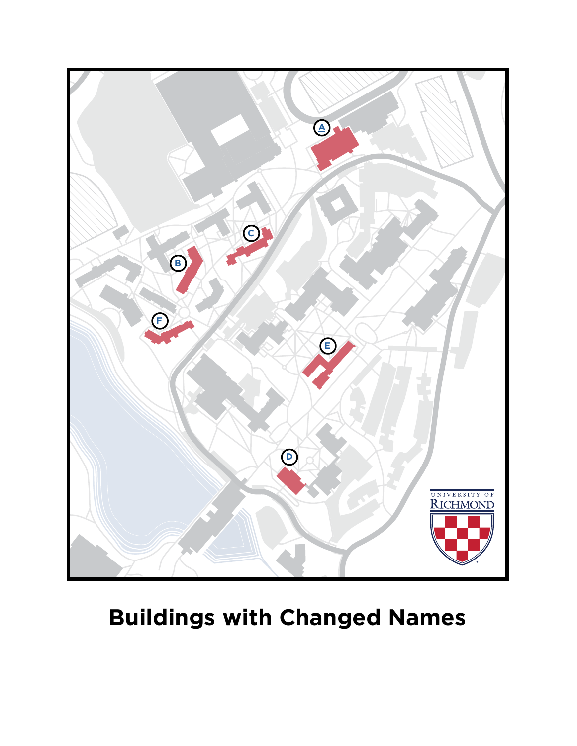

# **Buildings with Changed Names**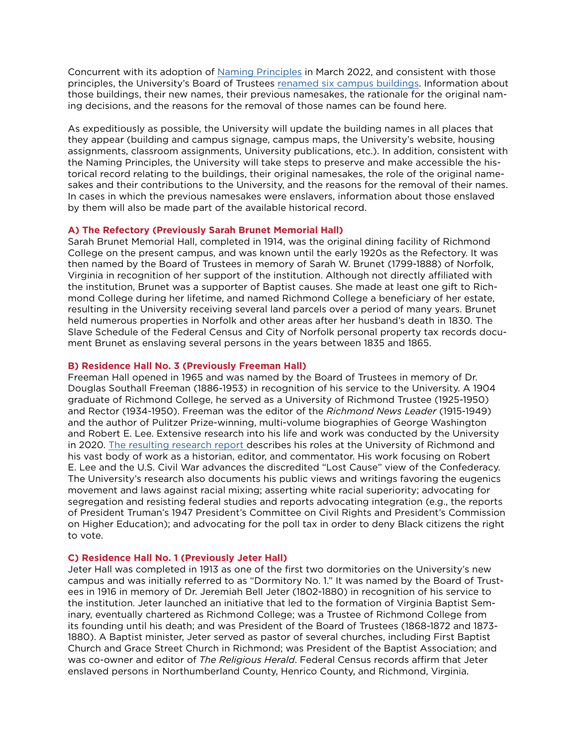Concurrent with its adoption of [Naming Principles](https://president.richmond.edu/university/naming-principles/principles.html) in March 2022, and consistent with those principles, the University's Board of Trustees [renamed six campus buildings.](https://president.richmond.edu/university/naming-principles/messages.html) Information about those buildings, their new names, their previous namesakes, the rationale for the original naming decisions, and the reasons for the removal of those names can be found here.

As expeditiously as possible, the University will update the building names in all places that they appear (building and campus signage, campus maps, the University's website, housing assignments, classroom assignments, University publications, etc.). In addition, consistent with the Naming Principles, the University will take steps to preserve and make accessible the historical record relating to the buildings, their original namesakes, the role of the original namesakes and their contributions to the University, and the reasons for the removal of their names. In cases in which the previous namesakes were enslavers, information about those enslaved by them will also be made part of the available historical record.

# <span id="page-1-2"></span>**A) The Refectory (Previously Sarah Brunet Memorial Hall)**

Sarah Brunet Memorial Hall, completed in 1914, was the original dining facility of Richmond College on the present campus, and was known until the early 1920s as the Refectory. It was then named by the Board of Trustees in memory of Sarah W. Brunet (1799-1888) of Norfolk, Virginia in recognition of her support of the institution. Although not directly affiliated with the institution, Brunet was a supporter of Baptist causes. She made at least one gift to Richmond College during her lifetime, and named Richmond College a beneficiary of her estate, resulting in the University receiving several land parcels over a period of many years. Brunet held numerous properties in Norfolk and other areas after her husband's death in 1830. The Slave Schedule of the Federal Census and City of Norfolk personal property tax records document Brunet as enslaving several persons in the years between 1835 and 1865.

### <span id="page-1-1"></span>**B) Residence Hall No. 3 (Previously Freeman Hall)**

Freeman Hall opened in 1965 and was named by the Board of Trustees in memory of Dr. Douglas Southall Freeman (1886-1953) in recognition of his service to the University. A 1904 graduate of Richmond College, he served as a University of Richmond Trustee (1925-1950) and Rector (1934-1950). Freeman was the editor of the *Richmond News Leader* (1915-1949) and the author of Pulitzer Prize-winning, multi-volume biographies of George Washington and Robert E. Lee. Extensive research into his life and work was conducted by the University in 2020. [The resulting research report](https://equity.richmond.edu/inclusive-history/freeman/report/Douglas-Southall-Freeman-Final-Report-20210216.pdf) describes his roles at the University of Richmond and his vast body of work as a historian, editor, and commentator. His work focusing on Robert E. Lee and the U.S. Civil War advances the discredited "Lost Cause" view of the Confederacy. The University's research also documents his public views and writings favoring the eugenics movement and laws against racial mixing; asserting white racial superiority; advocating for segregation and resisting federal studies and reports advocating integration (e.g., the reports of President Truman's 1947 President's Committee on Civil Rights and President's Commission on Higher Education); and advocating for the poll tax in order to deny Black citizens the right to vote.

## <span id="page-1-0"></span>**C) Residence Hall No. 1 (Previously Jeter Hall)**

Jeter Hall was completed in 1913 as one of the first two dormitories on the University's new campus and was initially referred to as "Dormitory No. 1." It was named by the Board of Trustees in 1916 in memory of Dr. Jeremiah Bell Jeter (1802-1880) in recognition of his service to the institution. Jeter launched an initiative that led to the formation of Virginia Baptist Seminary, eventually chartered as Richmond College; was a Trustee of Richmond College from its founding until his death; and was President of the Board of Trustees (1868-1872 and 1873- 1880). A Baptist minister, Jeter served as pastor of several churches, including First Baptist Church and Grace Street Church in Richmond; was President of the Baptist Association; and was co-owner and editor of *The Religious Herald*. Federal Census records affirm that Jeter enslaved persons in Northumberland County, Henrico County, and Richmond, Virginia.